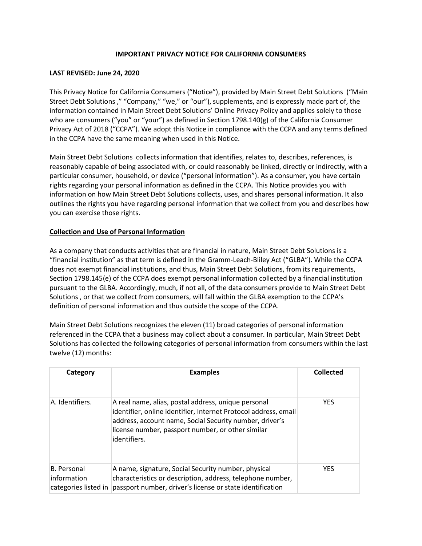## IMPORTANT PRIVACY NOTICE FOR CALIFORNIA CONSUMERS

## LAST REVISED: June 24, 2020

This Privacy Notice for California Consumers ("Notice"), provided by Main Street Debt Solutions ("Main Street Debt Solutions ," "Company," "we," or "our"), supplements, and is expressly made part of, the information contained in Main Street Debt Solutions' Online Privacy Policy and applies solely to those who are consumers ("you" or "your") as defined in Section 1798.140(g) of the California Consumer Privacy Act of 2018 ("CCPA"). We adopt this Notice in compliance with the CCPA and any terms defined in the CCPA have the same meaning when used in this Notice.

Main Street Debt Solutions collects information that identifies, relates to, describes, references, is reasonably capable of being associated with, or could reasonably be linked, directly or indirectly, with a particular consumer, household, or device ("personal information"). As a consumer, you have certain rights regarding your personal information as defined in the CCPA. This Notice provides you with information on how Main Street Debt Solutions collects, uses, and shares personal information. It also outlines the rights you have regarding personal information that we collect from you and describes how you can exercise those rights.

## Collection and Use of Personal Information

As a company that conducts activities that are financial in nature, Main Street Debt Solutions is a "financial institution" as that term is defined in the Gramm-Leach-Bliley Act ("GLBA"). While the CCPA does not exempt financial institutions, and thus, Main Street Debt Solutions, from its requirements, Section 1798.145(e) of the CCPA does exempt personal information collected by a financial institution pursuant to the GLBA. Accordingly, much, if not all, of the data consumers provide to Main Street Debt Solutions , or that we collect from consumers, will fall within the GLBA exemption to the CCPA's definition of personal information and thus outside the scope of the CCPA.

Main Street Debt Solutions recognizes the eleven (11) broad categories of personal information referenced in the CCPA that a business may collect about a consumer. In particular, Main Street Debt Solutions has collected the following categories of personal information from consumers within the last twelve (12) months:

| Category                                                  | <b>Examples</b>                                                                                                                                                                                                                                        | Collected  |
|-----------------------------------------------------------|--------------------------------------------------------------------------------------------------------------------------------------------------------------------------------------------------------------------------------------------------------|------------|
| A. Identifiers.                                           | A real name, alias, postal address, unique personal<br>identifier, online identifier, Internet Protocol address, email<br>address, account name, Social Security number, driver's<br>license number, passport number, or other similar<br>identifiers. | <b>YES</b> |
| <b>B.</b> Personal<br>information<br>categories listed in | A name, signature, Social Security number, physical<br>characteristics or description, address, telephone number,<br>passport number, driver's license or state identification                                                                         | <b>YES</b> |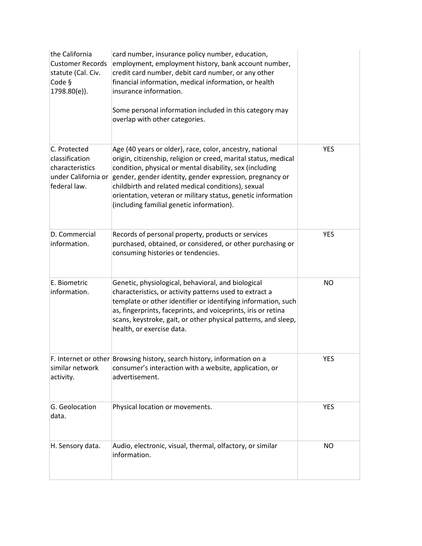| the California<br><b>Customer Records</b><br>statute (Cal. Civ.<br>Code §<br>1798.80(e)). | card number, insurance policy number, education,<br>employment, employment history, bank account number,<br>credit card number, debit card number, or any other<br>financial information, medical information, or health<br>insurance information.<br>Some personal information included in this category may<br>overlap with other categories.                                                                        |            |
|-------------------------------------------------------------------------------------------|------------------------------------------------------------------------------------------------------------------------------------------------------------------------------------------------------------------------------------------------------------------------------------------------------------------------------------------------------------------------------------------------------------------------|------------|
| C. Protected<br>classification<br>characteristics<br>under California or<br>federal law.  | Age (40 years or older), race, color, ancestry, national<br>origin, citizenship, religion or creed, marital status, medical<br>condition, physical or mental disability, sex (including<br>gender, gender identity, gender expression, pregnancy or<br>childbirth and related medical conditions), sexual<br>orientation, veteran or military status, genetic information<br>(including familial genetic information). | <b>YES</b> |
| D. Commercial<br>information.                                                             | Records of personal property, products or services<br>purchased, obtained, or considered, or other purchasing or<br>consuming histories or tendencies.                                                                                                                                                                                                                                                                 | <b>YES</b> |
| E. Biometric<br>information.                                                              | Genetic, physiological, behavioral, and biological<br>characteristics, or activity patterns used to extract a<br>template or other identifier or identifying information, such<br>as, fingerprints, faceprints, and voiceprints, iris or retina<br>scans, keystroke, gait, or other physical patterns, and sleep,<br>health, or exercise data.                                                                         | <b>NO</b>  |
| similar network<br>activity.                                                              | F. Internet or other Browsing history, search history, information on a<br>consumer's interaction with a website, application, or<br>advertisement.                                                                                                                                                                                                                                                                    | <b>YES</b> |
| G. Geolocation<br>data.                                                                   | Physical location or movements.                                                                                                                                                                                                                                                                                                                                                                                        | <b>YES</b> |
| H. Sensory data.                                                                          | Audio, electronic, visual, thermal, olfactory, or similar<br>information.                                                                                                                                                                                                                                                                                                                                              | <b>NO</b>  |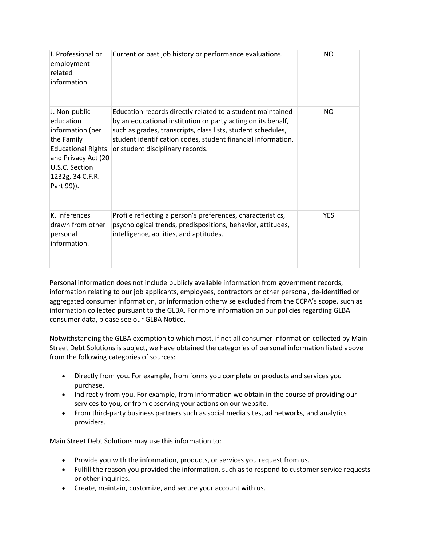| I. Professional or<br>employment-<br>related<br>information.                                                                                                         | Current or past job history or performance evaluations.                                                                                                                                                                                                                                        | NO         |
|----------------------------------------------------------------------------------------------------------------------------------------------------------------------|------------------------------------------------------------------------------------------------------------------------------------------------------------------------------------------------------------------------------------------------------------------------------------------------|------------|
| J. Non-public<br>education<br>information (per<br>the Family<br><b>Educational Rights</b><br>and Privacy Act (20<br>U.S.C. Section<br>1232g, 34 C.F.R.<br>Part 99)). | Education records directly related to a student maintained<br>by an educational institution or party acting on its behalf,<br>such as grades, transcripts, class lists, student schedules,<br>student identification codes, student financial information,<br>or student disciplinary records. | NO.        |
| K. Inferences<br>drawn from other<br>personal<br>information.                                                                                                        | Profile reflecting a person's preferences, characteristics,<br>psychological trends, predispositions, behavior, attitudes,<br>intelligence, abilities, and aptitudes.                                                                                                                          | <b>YES</b> |

Personal information does not include publicly available information from government records, information relating to our job applicants, employees, contractors or other personal, de-identified or aggregated consumer information, or information otherwise excluded from the CCPA's scope, such as information collected pursuant to the GLBA. For more information on our policies regarding GLBA consumer data, please see our GLBA Notice.

Notwithstanding the GLBA exemption to which most, if not all consumer information collected by Main Street Debt Solutions is subject, we have obtained the categories of personal information listed above from the following categories of sources:

- Directly from you. For example, from forms you complete or products and services you purchase.
- Indirectly from you. For example, from information we obtain in the course of providing our services to you, or from observing your actions on our website.
- From third-party business partners such as social media sites, ad networks, and analytics providers.

Main Street Debt Solutions may use this information to:

- Provide you with the information, products, or services you request from us.
- Fulfill the reason you provided the information, such as to respond to customer service requests or other inquiries.
- Create, maintain, customize, and secure your account with us.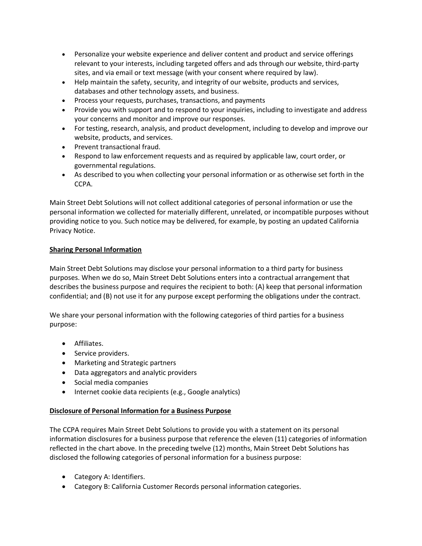- Personalize your website experience and deliver content and product and service offerings relevant to your interests, including targeted offers and ads through our website, third-party sites, and via email or text message (with your consent where required by law).
- Help maintain the safety, security, and integrity of our website, products and services, databases and other technology assets, and business.
- Process your requests, purchases, transactions, and payments
- Provide you with support and to respond to your inquiries, including to investigate and address your concerns and monitor and improve our responses.
- For testing, research, analysis, and product development, including to develop and improve our website, products, and services.
- Prevent transactional fraud.
- Respond to law enforcement requests and as required by applicable law, court order, or governmental regulations.
- As described to you when collecting your personal information or as otherwise set forth in the CCPA.

Main Street Debt Solutions will not collect additional categories of personal information or use the personal information we collected for materially different, unrelated, or incompatible purposes without providing notice to you. Such notice may be delivered, for example, by posting an updated California Privacy Notice.

# Sharing Personal Information

Main Street Debt Solutions may disclose your personal information to a third party for business purposes. When we do so, Main Street Debt Solutions enters into a contractual arrangement that describes the business purpose and requires the recipient to both: (A) keep that personal information confidential; and (B) not use it for any purpose except performing the obligations under the contract.

We share your personal information with the following categories of third parties for a business purpose:

- Affiliates.
- Service providers.
- Marketing and Strategic partners
- Data aggregators and analytic providers
- Social media companies
- Internet cookie data recipients (e.g., Google analytics)

# Disclosure of Personal Information for a Business Purpose

The CCPA requires Main Street Debt Solutions to provide you with a statement on its personal information disclosures for a business purpose that reference the eleven (11) categories of information reflected in the chart above. In the preceding twelve (12) months, Main Street Debt Solutions has disclosed the following categories of personal information for a business purpose:

- Category A: Identifiers.
- Category B: California Customer Records personal information categories.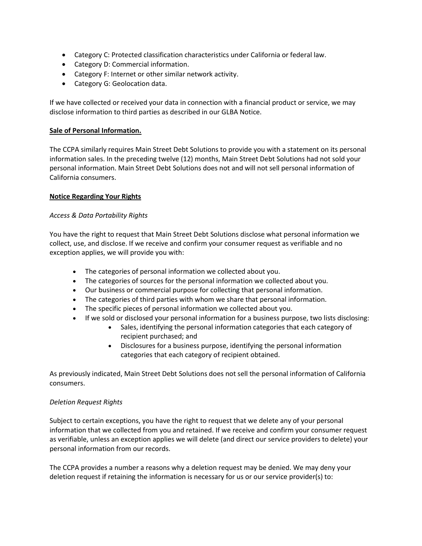- Category C: Protected classification characteristics under California or federal law.
- Category D: Commercial information.
- Category F: Internet or other similar network activity.
- Category G: Geolocation data.

If we have collected or received your data in connection with a financial product or service, we may disclose information to third parties as described in our GLBA Notice.

## Sale of Personal Information.

The CCPA similarly requires Main Street Debt Solutions to provide you with a statement on its personal information sales. In the preceding twelve (12) months, Main Street Debt Solutions had not sold your personal information. Main Street Debt Solutions does not and will not sell personal information of California consumers.

## Notice Regarding Your Rights

## Access & Data Portability Rights

You have the right to request that Main Street Debt Solutions disclose what personal information we collect, use, and disclose. If we receive and confirm your consumer request as verifiable and no exception applies, we will provide you with:

- The categories of personal information we collected about you.
- The categories of sources for the personal information we collected about you.
- Our business or commercial purpose for collecting that personal information.
- The categories of third parties with whom we share that personal information.
- The specific pieces of personal information we collected about you.
- If we sold or disclosed your personal information for a business purpose, two lists disclosing:
	- Sales, identifying the personal information categories that each category of recipient purchased; and
		- Disclosures for a business purpose, identifying the personal information categories that each category of recipient obtained.

As previously indicated, Main Street Debt Solutions does not sell the personal information of California consumers.

## Deletion Request Rights

Subject to certain exceptions, you have the right to request that we delete any of your personal information that we collected from you and retained. If we receive and confirm your consumer request as verifiable, unless an exception applies we will delete (and direct our service providers to delete) your personal information from our records.

The CCPA provides a number a reasons why a deletion request may be denied. We may deny your deletion request if retaining the information is necessary for us or our service provider(s) to: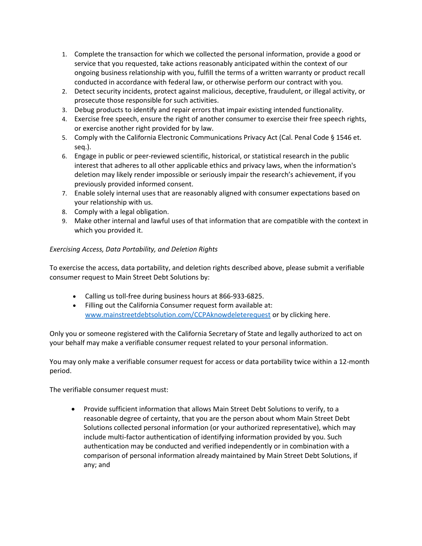- 1. Complete the transaction for which we collected the personal information, provide a good or service that you requested, take actions reasonably anticipated within the context of our ongoing business relationship with you, fulfill the terms of a written warranty or product recall conducted in accordance with federal law, or otherwise perform our contract with you.
- 2. Detect security incidents, protect against malicious, deceptive, fraudulent, or illegal activity, or prosecute those responsible for such activities.
- 3. Debug products to identify and repair errors that impair existing intended functionality.
- 4. Exercise free speech, ensure the right of another consumer to exercise their free speech rights, or exercise another right provided for by law.
- 5. Comply with the California Electronic Communications Privacy Act (Cal. Penal Code § 1546 et. seq.).
- 6. Engage in public or peer-reviewed scientific, historical, or statistical research in the public interest that adheres to all other applicable ethics and privacy laws, when the information's deletion may likely render impossible or seriously impair the research's achievement, if you previously provided informed consent.
- 7. Enable solely internal uses that are reasonably aligned with consumer expectations based on your relationship with us.
- 8. Comply with a legal obligation.
- 9. Make other internal and lawful uses of that information that are compatible with the context in which you provided it.

## Exercising Access, Data Portability, and Deletion Rights

To exercise the access, data portability, and deletion rights described above, please submit a verifiable consumer request to Main Street Debt Solutions by:

- Calling us toll-free during business hours at 866-933-6825.
- Filling out the California Consumer request form available at: www.mainstreetdebtsolution.com/CCPAknowdeleterequest or by clicking here.

Only you or someone registered with the California Secretary of State and legally authorized to act on your behalf may make a verifiable consumer request related to your personal information.

You may only make a verifiable consumer request for access or data portability twice within a 12-month period.

The verifiable consumer request must:

 Provide sufficient information that allows Main Street Debt Solutions to verify, to a reasonable degree of certainty, that you are the person about whom Main Street Debt Solutions collected personal information (or your authorized representative), which may include multi-factor authentication of identifying information provided by you. Such authentication may be conducted and verified independently or in combination with a comparison of personal information already maintained by Main Street Debt Solutions, if any; and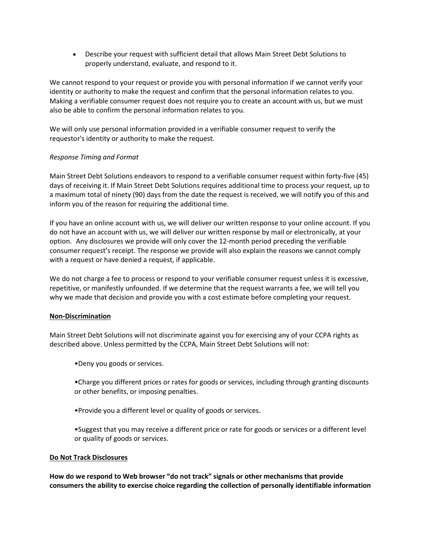Describe your request with sufficient detail that allows Main Street Debt Solutions to properly understand, evaluate, and respond to it.

We cannot respond to your request or provide you with personal information if we cannot verify your identity or authority to make the request and confirm that the personal information relates to you. Making a verifiable consumer request does not require you to create an account with us, but we must also be able to confirm the personal information relates to you.

We will only use personal information provided in a verifiable consumer request to verify the requestor's identity or authority to make the request.

## Response Timing and Format

Main Street Debt Solutions endeavors to respond to a verifiable consumer request within forty-five (45) days of receiving it. If Main Street Debt Solutions requires additional time to process your request, up to a maximum total of ninety (90) days from the date the request is received, we will notify you of this and inform you of the reason for requiring the additional time.

If you have an online account with us, we will deliver our written response to your online account. If you do not have an account with us, we will deliver our written response by mail or electronically, at your option. Any disclosures we provide will only cover the 12-month period preceding the verifiable consumer request's receipt. The response we provide will also explain the reasons we cannot comply with a request or have denied a request, if applicable.

We do not charge a fee to process or respond to your verifiable consumer request unless it is excessive, repetitive, or manifestly unfounded. If we determine that the request warrants a fee, we will tell you why we made that decision and provide you with a cost estimate before completing your request.

## Non-Discrimination

Main Street Debt Solutions will not discriminate against you for exercising any of your CCPA rights as described above. Unless permitted by the CCPA, Main Street Debt Solutions will not:

•Deny you goods or services.

•Charge you different prices or rates for goods or services, including through granting discounts or other benefits, or imposing penalties.

•Provide you a different level or quality of goods or services.

•Suggest that you may receive a different price or rate for goods or services or a different level or quality of goods or services.

#### Do Not Track Disclosures

How do we respond to Web browser "do not track" signals or other mechanisms that provide consumers the ability to exercise choice regarding the collection of personally identifiable information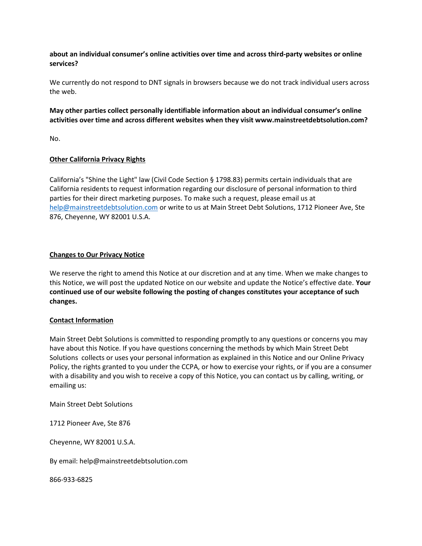## about an individual consumer's online activities over time and across third-party websites or online services?

We currently do not respond to DNT signals in browsers because we do not track individual users across the web.

# May other parties collect personally identifiable information about an individual consumer's online activities over time and across different websites when they visit www.mainstreetdebtsolution.com?

No.

## Other California Privacy Rights

California's "Shine the Light" law (Civil Code Section § 1798.83) permits certain individuals that are California residents to request information regarding our disclosure of personal information to third parties for their direct marketing purposes. To make such a request, please email us at help@mainstreetdebtsolution.com or write to us at Main Street Debt Solutions, 1712 Pioneer Ave, Ste 876, Cheyenne, WY 82001 U.S.A.

#### Changes to Our Privacy Notice

We reserve the right to amend this Notice at our discretion and at any time. When we make changes to this Notice, we will post the updated Notice on our website and update the Notice's effective date. Your continued use of our website following the posting of changes constitutes your acceptance of such changes.

## Contact Information

Main Street Debt Solutions is committed to responding promptly to any questions or concerns you may have about this Notice. If you have questions concerning the methods by which Main Street Debt Solutions collects or uses your personal information as explained in this Notice and our Online Privacy Policy, the rights granted to you under the CCPA, or how to exercise your rights, or if you are a consumer with a disability and you wish to receive a copy of this Notice, you can contact us by calling, writing, or emailing us:

Main Street Debt Solutions

1712 Pioneer Ave, Ste 876

Cheyenne, WY 82001 U.S.A.

By email: help@mainstreetdebtsolution.com

866-933-6825